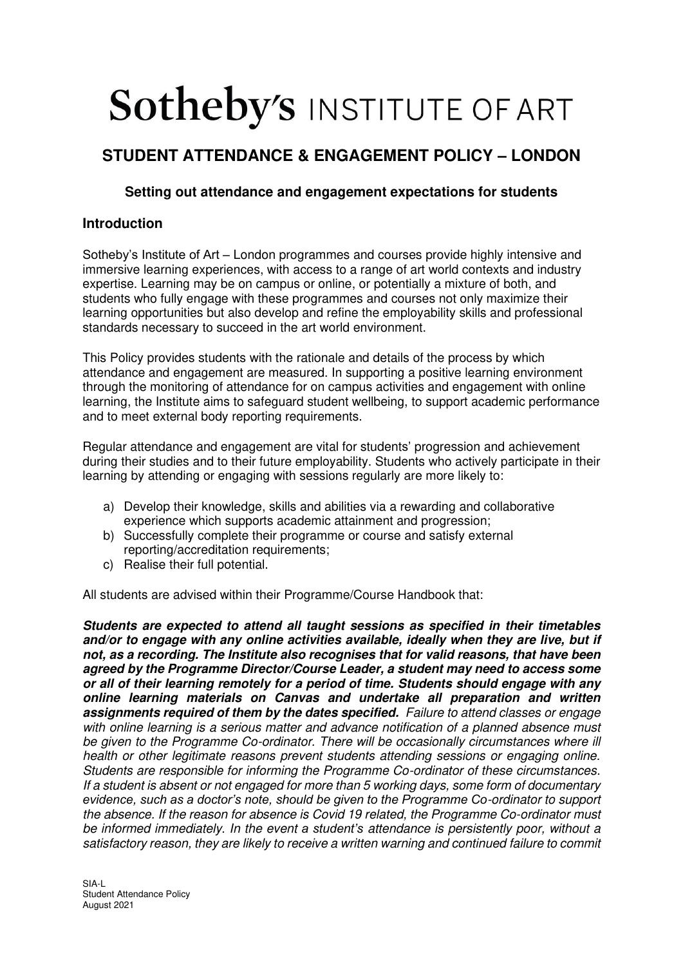# **Sotheby's INSTITUTE OF ART**

## **STUDENT ATTENDANCE & ENGAGEMENT POLICY – LONDON**

### **Setting out attendance and engagement expectations for students**

#### **Introduction**

Sotheby's Institute of Art – London programmes and courses provide highly intensive and immersive learning experiences, with access to a range of art world contexts and industry expertise. Learning may be on campus or online, or potentially a mixture of both, and students who fully engage with these programmes and courses not only maximize their learning opportunities but also develop and refine the employability skills and professional standards necessary to succeed in the art world environment.

This Policy provides students with the rationale and details of the process by which attendance and engagement are measured. In supporting a positive learning environment through the monitoring of attendance for on campus activities and engagement with online learning, the Institute aims to safeguard student wellbeing, to support academic performance and to meet external body reporting requirements.

Regular attendance and engagement are vital for students' progression and achievement during their studies and to their future employability. Students who actively participate in their learning by attending or engaging with sessions regularly are more likely to:

- a) Develop their knowledge, skills and abilities via a rewarding and collaborative experience which supports academic attainment and progression;
- b) Successfully complete their programme or course and satisfy external reporting/accreditation requirements;
- c) Realise their full potential.

All students are advised within their Programme/Course Handbook that:

**Students are expected to attend all taught sessions as specified in their timetables and/or to engage with any online activities available, ideally when they are live, but if not, as a recording. The Institute also recognises that for valid reasons, that have been agreed by the Programme Director/Course Leader, a student may need to access some or all of their learning remotely for a period of time. Students should engage with any online learning materials on Canvas and undertake all preparation and written assignments required of them by the dates specified.** Failure to attend classes or engage with online learning is a serious matter and advance notification of a planned absence must be given to the Programme Co-ordinator. There will be occasionally circumstances where ill health or other legitimate reasons prevent students attending sessions or engaging online. Students are responsible for informing the Programme Co-ordinator of these circumstances. If a student is absent or not engaged for more than 5 working days, some form of documentary *evidence, such as a doctor's note, should be given to the Programme Co*-ordinator to support the absence. If the reason for absence is Covid 19 related, the Programme Co-ordinator must be informed immediately. In the event *a student's* attendance is persistently poor, without a satisfactory reason, they are likely to receive a written warning and continued failure to commit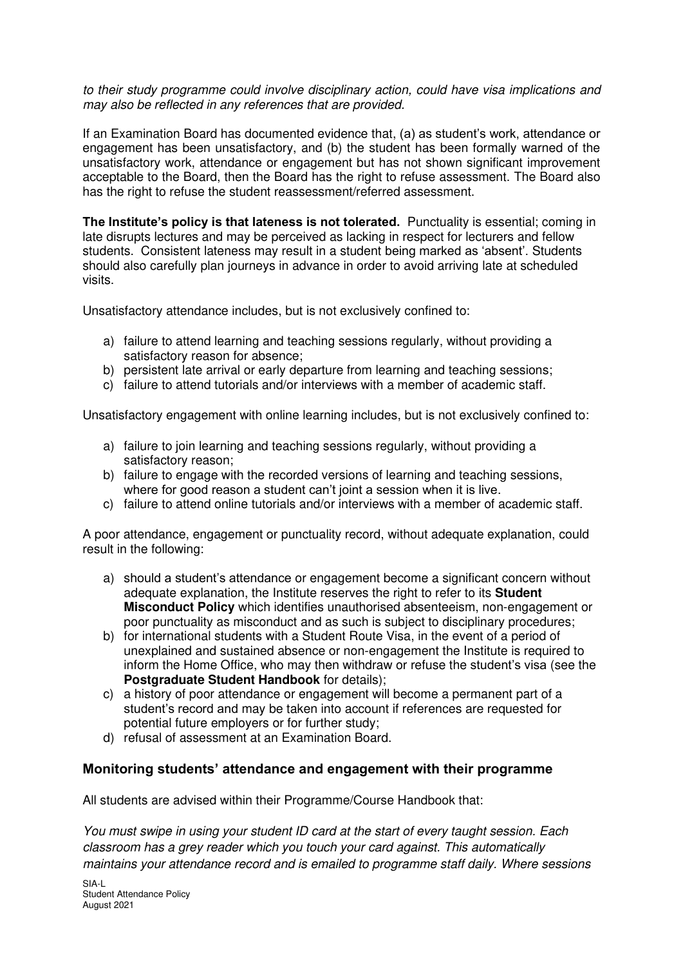to their study programme could involve disciplinary action, could have visa implications and may also be reflected in any references that are provided.

If an Examination Board has documented evidence that, (a) as student's work, attendance or engagement has been unsatisfactory, and (b) the student has been formally warned of the unsatisfactory work, attendance or engagement but has not shown significant improvement acceptable to the Board, then the Board has the right to refuse assessment. The Board also has the right to refuse the student reassessment/referred assessment.

**The Institute's policy is that lateness is not tolerated.** Punctuality is essential; coming in late disrupts lectures and may be perceived as lacking in respect for lecturers and fellow students. Consistent lateness may result in a student being marked as 'absent'. Students should also carefully plan journeys in advance in order to avoid arriving late at scheduled visits.

Unsatisfactory attendance includes, but is not exclusively confined to:

- a) failure to attend learning and teaching sessions regularly, without providing a satisfactory reason for absence;
- b) persistent late arrival or early departure from learning and teaching sessions;
- c) failure to attend tutorials and/or interviews with a member of academic staff.

Unsatisfactory engagement with online learning includes, but is not exclusively confined to:

- a) failure to join learning and teaching sessions regularly, without providing a satisfactory reason;
- b) failure to engage with the recorded versions of learning and teaching sessions, where for good reason a student can't joint a session when it is live.
- c) failure to attend online tutorials and/or interviews with a member of academic staff.

A poor attendance, engagement or punctuality record, without adequate explanation, could result in the following:

- a) should a student's attendance or engagement become a significant concern without adequate explanation, the Institute reserves the right to refer to its **Student Misconduct Policy** which identifies unauthorised absenteeism, non-engagement or poor punctuality as misconduct and as such is subject to disciplinary procedures;
- b) for international students with a Student Route Visa, in the event of a period of unexplained and sustained absence or non-engagement the Institute is required to inform the Home Office, who may then withdraw or refuse the student's visa (see the **Postgraduate Student Handbook** for details):
- c) a history of poor attendance or engagement will become a permanent part of a student's record and may be taken into account if references are requested for potential future employers or for further study;
- d) refusal of assessment at an Examination Board.

#### **Monitoring students' attendance and engagement with their programme**

All students are advised within their Programme/Course Handbook that:

You must swipe in using your student ID card at the start of every taught session. Each classroom has a grey reader which you touch your card against. This automatically maintains your attendance record and is emailed to programme staff daily. Where sessions